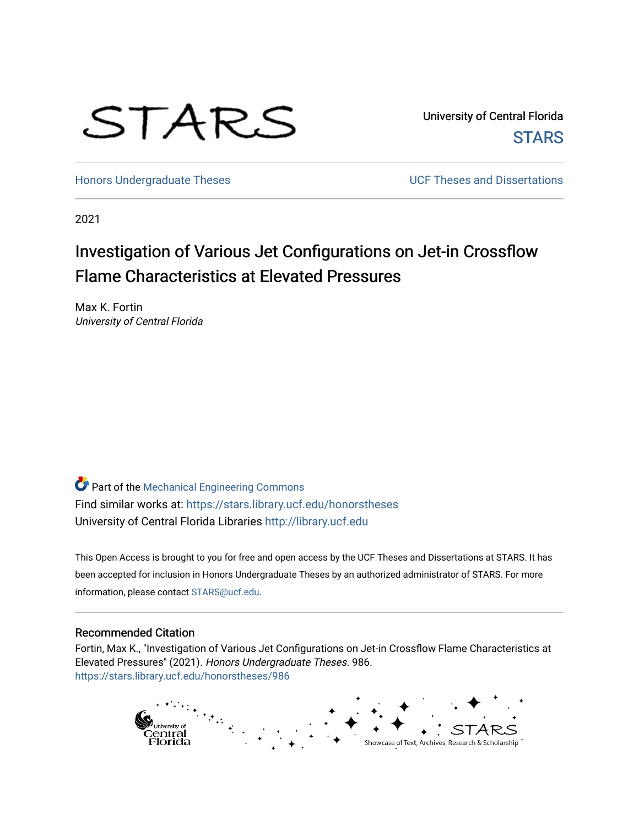

University of Central Florida **STARS** 

[Honors Undergraduate Theses](https://stars.library.ucf.edu/honorstheses) **No. 2018** UCF Theses and Dissertations

2021

# Investigation of Various Jet Configurations on Jet-in Crossflow Flame Characteristics at Elevated Pressures

Max K. Fortin University of Central Florida

Part of the [Mechanical Engineering Commons](http://network.bepress.com/hgg/discipline/293?utm_source=stars.library.ucf.edu%2Fhonorstheses%2F986&utm_medium=PDF&utm_campaign=PDFCoverPages)  Find similar works at: <https://stars.library.ucf.edu/honorstheses> University of Central Florida Libraries [http://library.ucf.edu](http://library.ucf.edu/) 

This Open Access is brought to you for free and open access by the UCF Theses and Dissertations at STARS. It has been accepted for inclusion in Honors Undergraduate Theses by an authorized administrator of STARS. For more information, please contact [STARS@ucf.edu.](mailto:STARS@ucf.edu)

#### Recommended Citation

Fortin, Max K., "Investigation of Various Jet Configurations on Jet-in Crossflow Flame Characteristics at Elevated Pressures" (2021). Honors Undergraduate Theses. 986. [https://stars.library.ucf.edu/honorstheses/986](https://stars.library.ucf.edu/honorstheses/986?utm_source=stars.library.ucf.edu%2Fhonorstheses%2F986&utm_medium=PDF&utm_campaign=PDFCoverPages) 

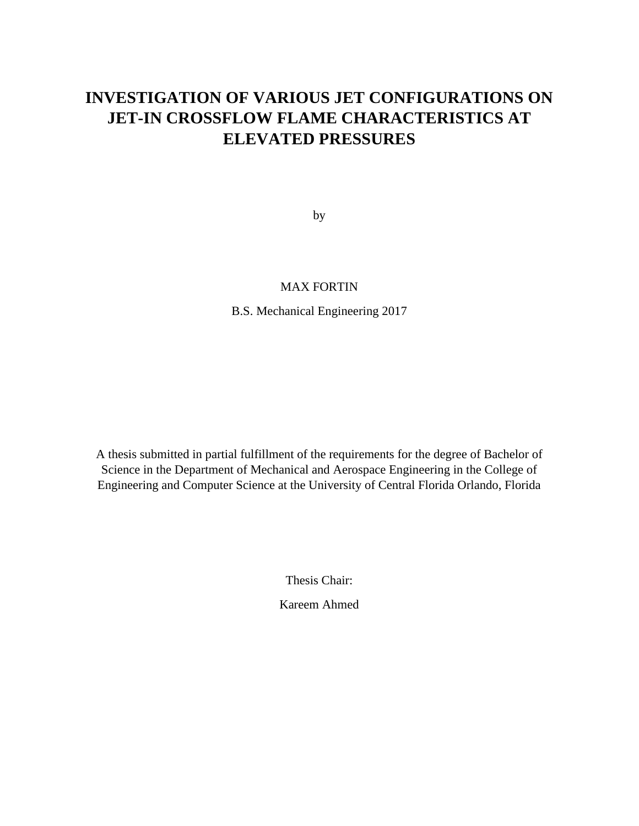# **INVESTIGATION OF VARIOUS JET CONFIGURATIONS ON JET-IN CROSSFLOW FLAME CHARACTERISTICS AT ELEVATED PRESSURES**

by

## MAX FORTIN

B.S. Mechanical Engineering 2017

A thesis submitted in partial fulfillment of the requirements for the degree of Bachelor of Science in the Department of Mechanical and Aerospace Engineering in the College of Engineering and Computer Science at the University of Central Florida Orlando, Florida

Thesis Chair:

Kareem Ahmed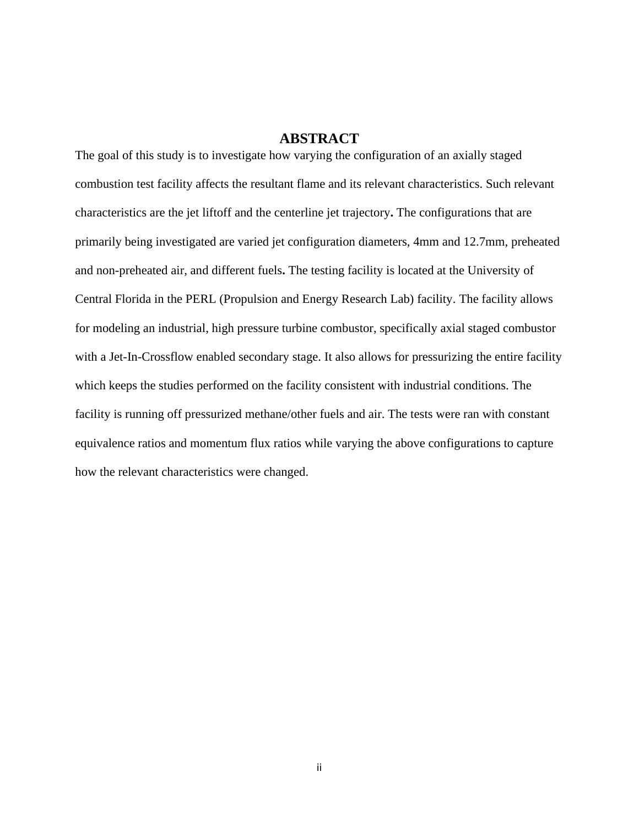## **ABSTRACT**

The goal of this study is to investigate how varying the configuration of an axially staged combustion test facility affects the resultant flame and its relevant characteristics. Such relevant characteristics are the jet liftoff and the centerline jet trajectory**.** The configurations that are primarily being investigated are varied jet configuration diameters, 4mm and 12.7mm, preheated and non-preheated air, and different fuels**.** The testing facility is located at the University of Central Florida in the PERL (Propulsion and Energy Research Lab) facility. The facility allows for modeling an industrial, high pressure turbine combustor, specifically axial staged combustor with a Jet-In-Crossflow enabled secondary stage. It also allows for pressurizing the entire facility which keeps the studies performed on the facility consistent with industrial conditions. The facility is running off pressurized methane/other fuels and air. The tests were ran with constant equivalence ratios and momentum flux ratios while varying the above configurations to capture how the relevant characteristics were changed.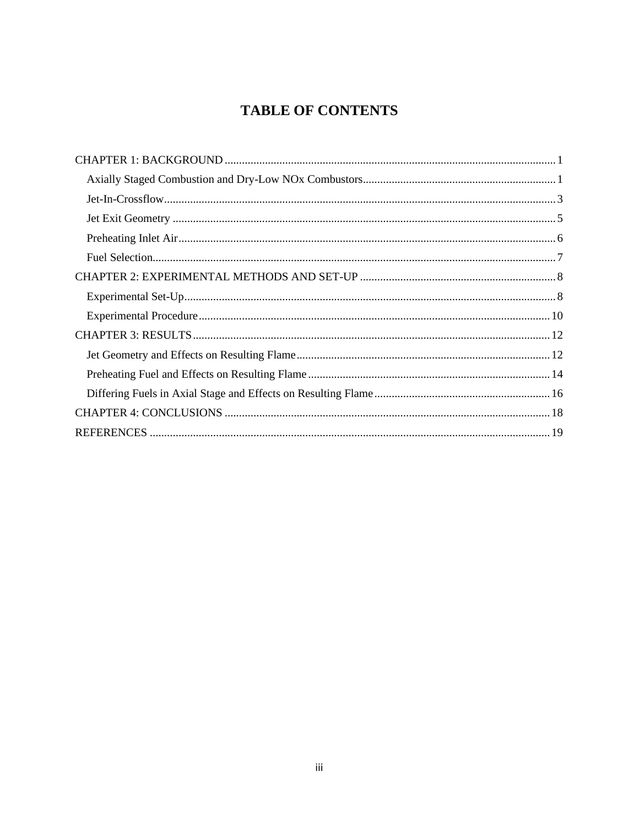## **TABLE OF CONTENTS**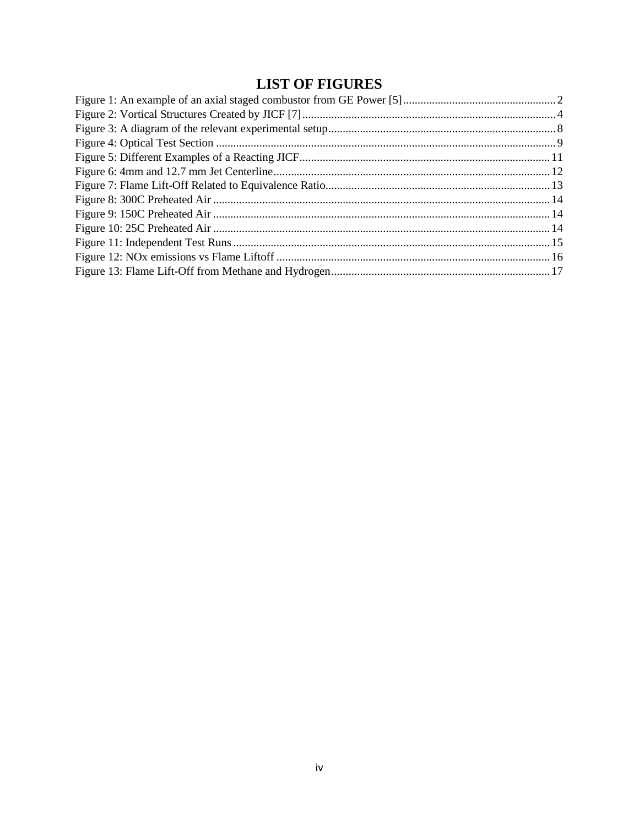## **LIST OF FIGURES**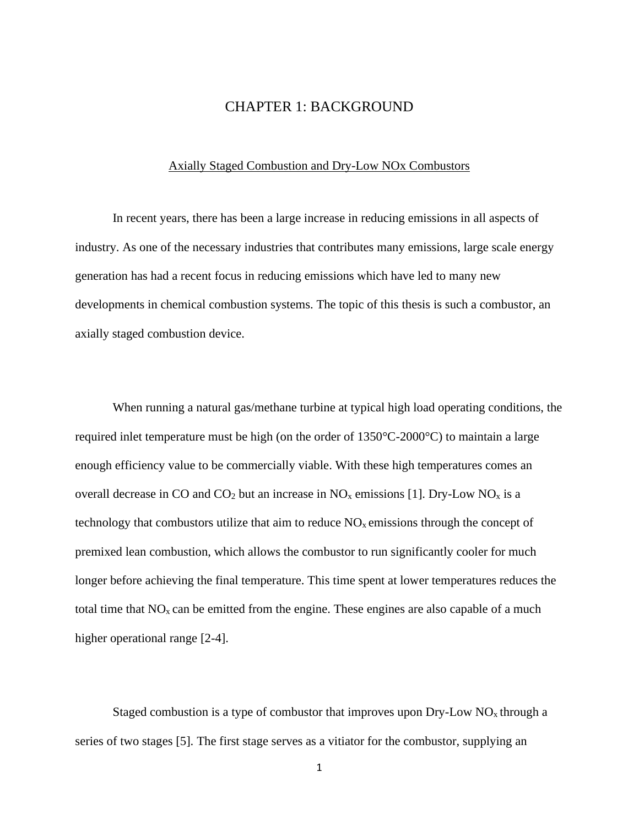## CHAPTER 1: BACKGROUND

#### <span id="page-5-0"></span>Axially Staged Combustion and Dry-Low NOx Combustors

<span id="page-5-1"></span>In recent years, there has been a large increase in reducing emissions in all aspects of industry. As one of the necessary industries that contributes many emissions, large scale energy generation has had a recent focus in reducing emissions which have led to many new developments in chemical combustion systems. The topic of this thesis is such a combustor, an axially staged combustion device.

When running a natural gas/methane turbine at typical high load operating conditions, the required inlet temperature must be high (on the order of 1350°C-2000°C) to maintain a large enough efficiency value to be commercially viable. With these high temperatures comes an overall decrease in CO and CO<sub>2</sub> but an increase in  $NO_x$  emissions [1]. Dry-Low  $NO_x$  is a technology that combustors utilize that aim to reduce  $NO<sub>x</sub>$  emissions through the concept of premixed lean combustion, which allows the combustor to run significantly cooler for much longer before achieving the final temperature. This time spent at lower temperatures reduces the total time that  $NO<sub>x</sub>$  can be emitted from the engine. These engines are also capable of a much higher operational range [2-4].

Staged combustion is a type of combustor that improves upon  $\text{Dry-Low NO}_x$  through a series of two stages [5]. The first stage serves as a vitiator for the combustor, supplying an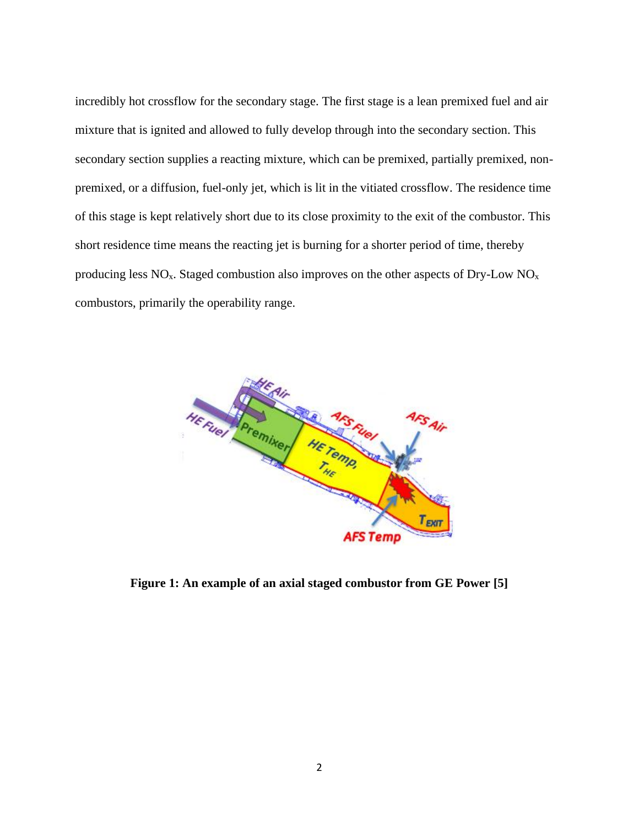incredibly hot crossflow for the secondary stage. The first stage is a lean premixed fuel and air mixture that is ignited and allowed to fully develop through into the secondary section. This secondary section supplies a reacting mixture, which can be premixed, partially premixed, nonpremixed, or a diffusion, fuel-only jet, which is lit in the vitiated crossflow. The residence time of this stage is kept relatively short due to its close proximity to the exit of the combustor. This short residence time means the reacting jet is burning for a shorter period of time, thereby producing less  $NO<sub>x</sub>$ . Staged combustion also improves on the other aspects of Dry-Low  $NO<sub>x</sub>$ combustors, primarily the operability range.



**Figure 1: An example of an axial staged combustor from GE Power [5]**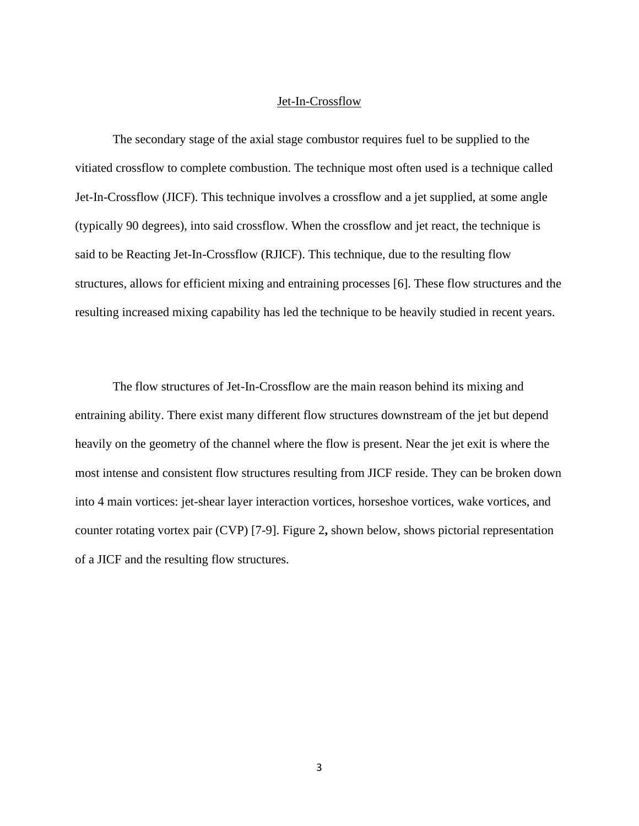#### Jet-In-Crossflow

<span id="page-7-0"></span>The secondary stage of the axial stage combustor requires fuel to be supplied to the vitiated crossflow to complete combustion. The technique most often used is a technique called Jet-In-Crossflow (JICF). This technique involves a crossflow and a jet supplied, at some angle (typically 90 degrees), into said crossflow. When the crossflow and jet react, the technique is said to be Reacting Jet-In-Crossflow (RJICF). This technique, due to the resulting flow structures, allows for efficient mixing and entraining processes [6]. These flow structures and the resulting increased mixing capability has led the technique to be heavily studied in recent years.

The flow structures of Jet-In-Crossflow are the main reason behind its mixing and entraining ability. There exist many different flow structures downstream of the jet but depend heavily on the geometry of the channel where the flow is present. Near the jet exit is where the most intense and consistent flow structures resulting from JICF reside. They can be broken down into 4 main vortices: jet-shear layer interaction vortices, horseshoe vortices, wake vortices, and counter rotating vortex pair (CVP) [7-9]. Figure 2**,** shown below, shows pictorial representation of a JICF and the resulting flow structures.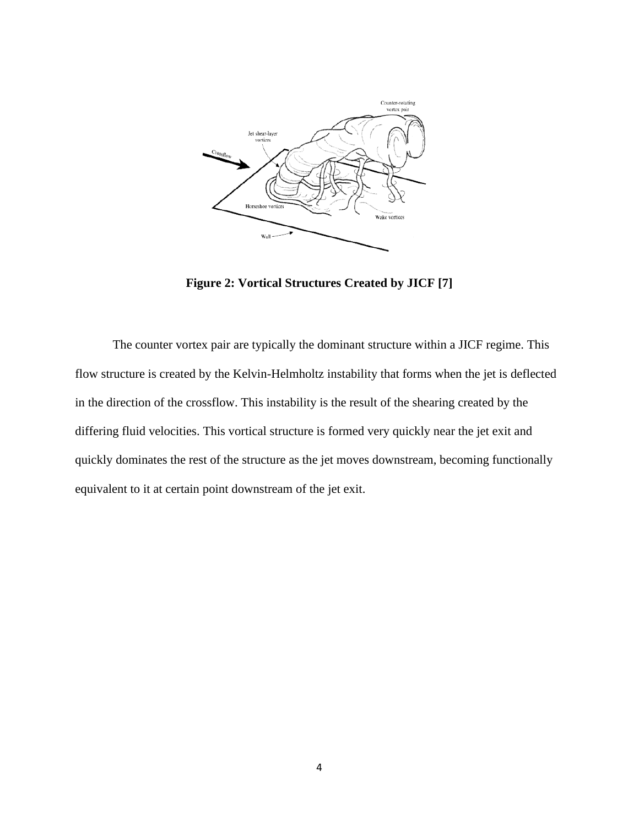

**Figure 2: Vortical Structures Created by JICF [7]**

The counter vortex pair are typically the dominant structure within a JICF regime. This flow structure is created by the Kelvin-Helmholtz instability that forms when the jet is deflected in the direction of the crossflow. This instability is the result of the shearing created by the differing fluid velocities. This vortical structure is formed very quickly near the jet exit and quickly dominates the rest of the structure as the jet moves downstream, becoming functionally equivalent to it at certain point downstream of the jet exit.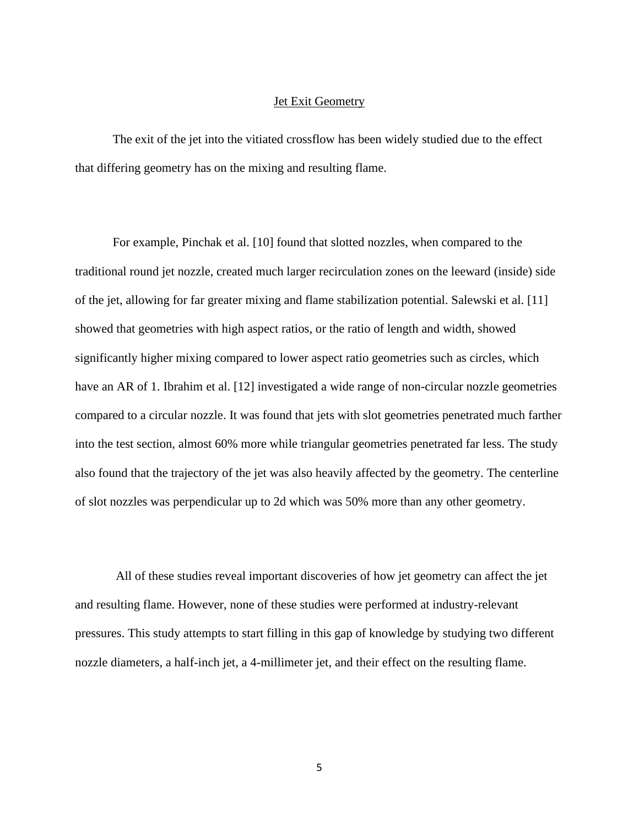#### **Jet Exit Geometry**

<span id="page-9-0"></span>The exit of the jet into the vitiated crossflow has been widely studied due to the effect that differing geometry has on the mixing and resulting flame.

For example, Pinchak et al. [10] found that slotted nozzles, when compared to the traditional round jet nozzle, created much larger recirculation zones on the leeward (inside) side of the jet, allowing for far greater mixing and flame stabilization potential. Salewski et al. [11] showed that geometries with high aspect ratios, or the ratio of length and width, showed significantly higher mixing compared to lower aspect ratio geometries such as circles, which have an AR of 1. Ibrahim et al. [12] investigated a wide range of non-circular nozzle geometries compared to a circular nozzle. It was found that jets with slot geometries penetrated much farther into the test section, almost 60% more while triangular geometries penetrated far less. The study also found that the trajectory of the jet was also heavily affected by the geometry. The centerline of slot nozzles was perpendicular up to 2d which was 50% more than any other geometry.

All of these studies reveal important discoveries of how jet geometry can affect the jet and resulting flame. However, none of these studies were performed at industry-relevant pressures. This study attempts to start filling in this gap of knowledge by studying two different nozzle diameters, a half-inch jet, a 4-millimeter jet, and their effect on the resulting flame.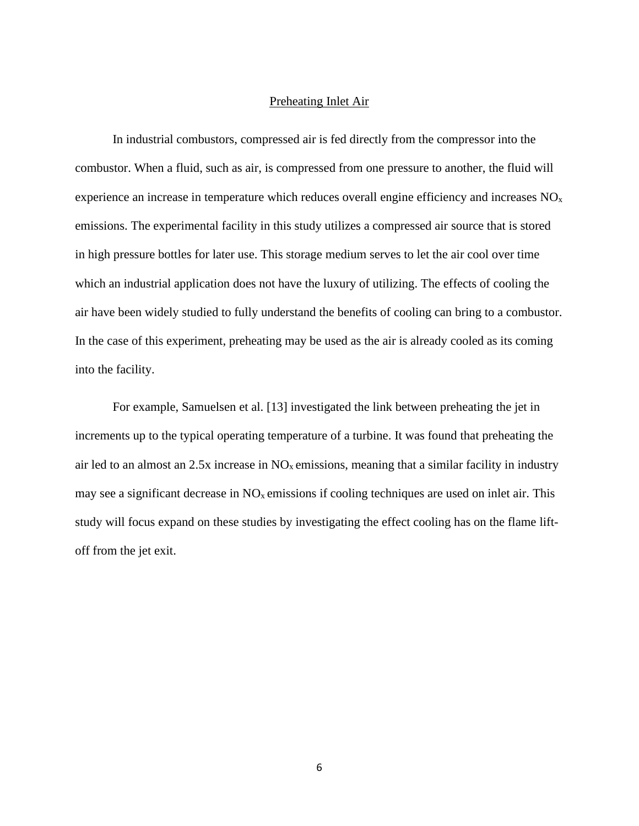#### Preheating Inlet Air

<span id="page-10-0"></span>In industrial combustors, compressed air is fed directly from the compressor into the combustor. When a fluid, such as air, is compressed from one pressure to another, the fluid will experience an increase in temperature which reduces overall engine efficiency and increases  $NO<sub>x</sub>$ emissions. The experimental facility in this study utilizes a compressed air source that is stored in high pressure bottles for later use. This storage medium serves to let the air cool over time which an industrial application does not have the luxury of utilizing. The effects of cooling the air have been widely studied to fully understand the benefits of cooling can bring to a combustor. In the case of this experiment, preheating may be used as the air is already cooled as its coming into the facility.

For example, Samuelsen et al. [13] investigated the link between preheating the jet in increments up to the typical operating temperature of a turbine. It was found that preheating the air led to an almost an  $2.5x$  increase in  $NO<sub>x</sub>$  emissions, meaning that a similar facility in industry may see a significant decrease in  $NO<sub>x</sub>$  emissions if cooling techniques are used on inlet air. This study will focus expand on these studies by investigating the effect cooling has on the flame liftoff from the jet exit.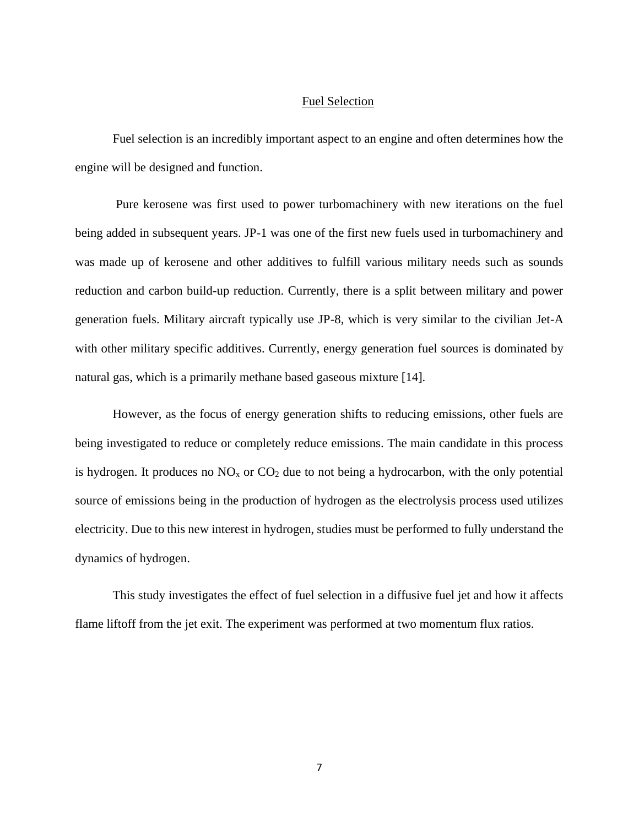#### Fuel Selection

<span id="page-11-0"></span>Fuel selection is an incredibly important aspect to an engine and often determines how the engine will be designed and function.

Pure kerosene was first used to power turbomachinery with new iterations on the fuel being added in subsequent years. JP-1 was one of the first new fuels used in turbomachinery and was made up of kerosene and other additives to fulfill various military needs such as sounds reduction and carbon build-up reduction. Currently, there is a split between military and power generation fuels. Military aircraft typically use JP-8, which is very similar to the civilian Jet-A with other military specific additives. Currently, energy generation fuel sources is dominated by natural gas, which is a primarily methane based gaseous mixture [14].

However, as the focus of energy generation shifts to reducing emissions, other fuels are being investigated to reduce or completely reduce emissions. The main candidate in this process is hydrogen. It produces no  $NO<sub>x</sub>$  or  $CO<sub>2</sub>$  due to not being a hydrocarbon, with the only potential source of emissions being in the production of hydrogen as the electrolysis process used utilizes electricity. Due to this new interest in hydrogen, studies must be performed to fully understand the dynamics of hydrogen.

This study investigates the effect of fuel selection in a diffusive fuel jet and how it affects flame liftoff from the jet exit. The experiment was performed at two momentum flux ratios.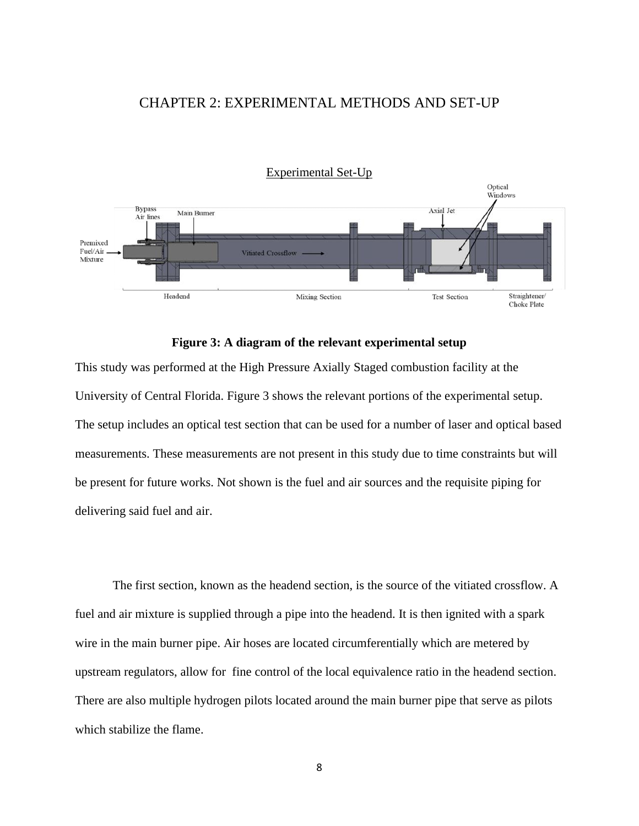## <span id="page-12-0"></span>CHAPTER 2: EXPERIMENTAL METHODS AND SET-UP

<span id="page-12-1"></span>

#### **Figure 3: A diagram of the relevant experimental setup**

This study was performed at the High Pressure Axially Staged combustion facility at the University of Central Florida. Figure 3 shows the relevant portions of the experimental setup. The setup includes an optical test section that can be used for a number of laser and optical based measurements. These measurements are not present in this study due to time constraints but will be present for future works. Not shown is the fuel and air sources and the requisite piping for delivering said fuel and air.

The first section, known as the headend section, is the source of the vitiated crossflow. A fuel and air mixture is supplied through a pipe into the headend. It is then ignited with a spark wire in the main burner pipe. Air hoses are located circumferentially which are metered by upstream regulators, allow for fine control of the local equivalence ratio in the headend section. There are also multiple hydrogen pilots located around the main burner pipe that serve as pilots which stabilize the flame.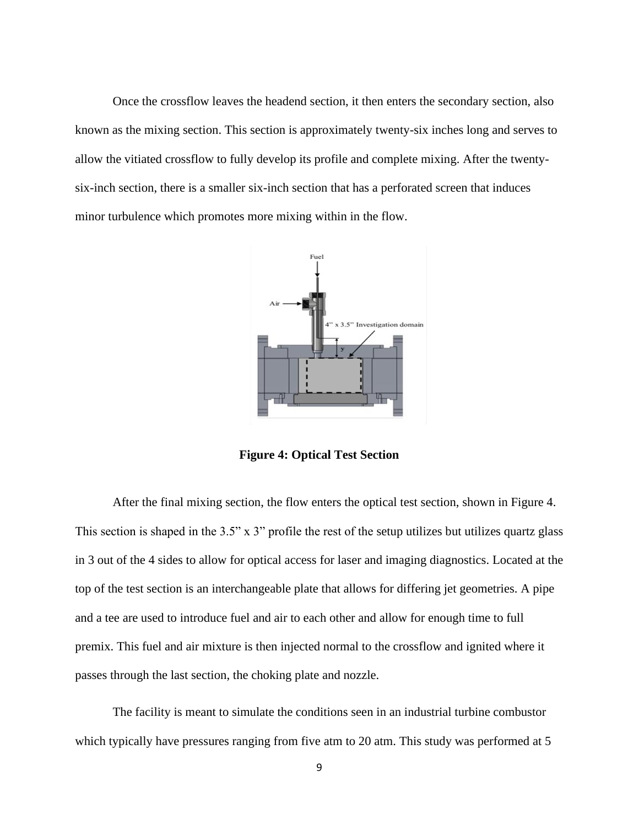Once the crossflow leaves the headend section, it then enters the secondary section, also known as the mixing section. This section is approximately twenty-six inches long and serves to allow the vitiated crossflow to fully develop its profile and complete mixing. After the twentysix-inch section, there is a smaller six-inch section that has a perforated screen that induces minor turbulence which promotes more mixing within in the flow.



**Figure 4: Optical Test Section**

After the final mixing section, the flow enters the optical test section, shown in Figure 4. This section is shaped in the 3.5" x 3" profile the rest of the setup utilizes but utilizes quartz glass in 3 out of the 4 sides to allow for optical access for laser and imaging diagnostics. Located at the top of the test section is an interchangeable plate that allows for differing jet geometries. A pipe and a tee are used to introduce fuel and air to each other and allow for enough time to full premix. This fuel and air mixture is then injected normal to the crossflow and ignited where it passes through the last section, the choking plate and nozzle.

The facility is meant to simulate the conditions seen in an industrial turbine combustor which typically have pressures ranging from five atm to 20 atm. This study was performed at 5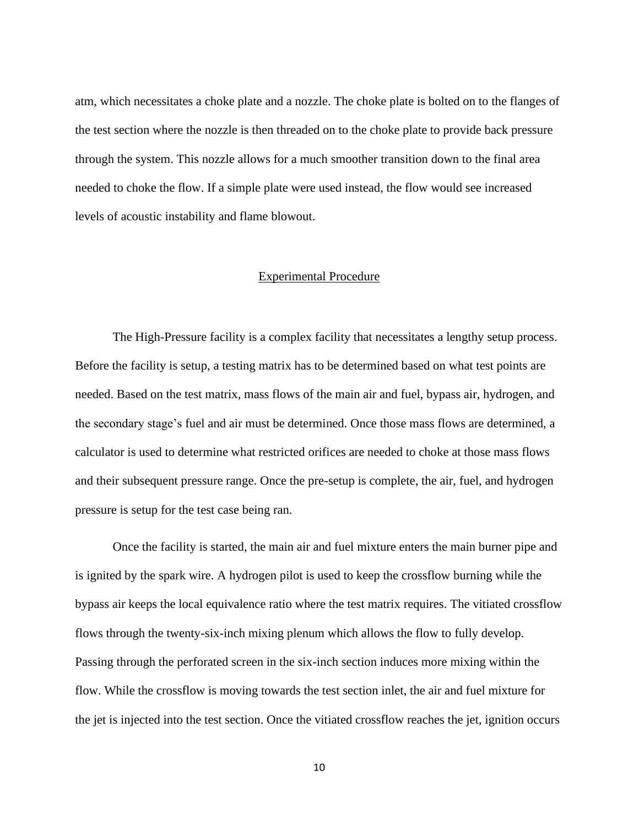atm, which necessitates a choke plate and a nozzle. The choke plate is bolted on to the flanges of the test section where the nozzle is then threaded on to the choke plate to provide back pressure through the system. This nozzle allows for a much smoother transition down to the final area needed to choke the flow. If a simple plate were used instead, the flow would see increased levels of acoustic instability and flame blowout.

#### Experimental Procedure

<span id="page-14-0"></span>The High-Pressure facility is a complex facility that necessitates a lengthy setup process. Before the facility is setup, a testing matrix has to be determined based on what test points are needed. Based on the test matrix, mass flows of the main air and fuel, bypass air, hydrogen, and the secondary stage's fuel and air must be determined. Once those mass flows are determined, a calculator is used to determine what restricted orifices are needed to choke at those mass flows and their subsequent pressure range. Once the pre-setup is complete, the air, fuel, and hydrogen pressure is setup for the test case being ran.

Once the facility is started, the main air and fuel mixture enters the main burner pipe and is ignited by the spark wire. A hydrogen pilot is used to keep the crossflow burning while the bypass air keeps the local equivalence ratio where the test matrix requires. The vitiated crossflow flows through the twenty-six-inch mixing plenum which allows the flow to fully develop. Passing through the perforated screen in the six-inch section induces more mixing within the flow. While the crossflow is moving towards the test section inlet, the air and fuel mixture for the jet is injected into the test section. Once the vitiated crossflow reaches the jet, ignition occurs

10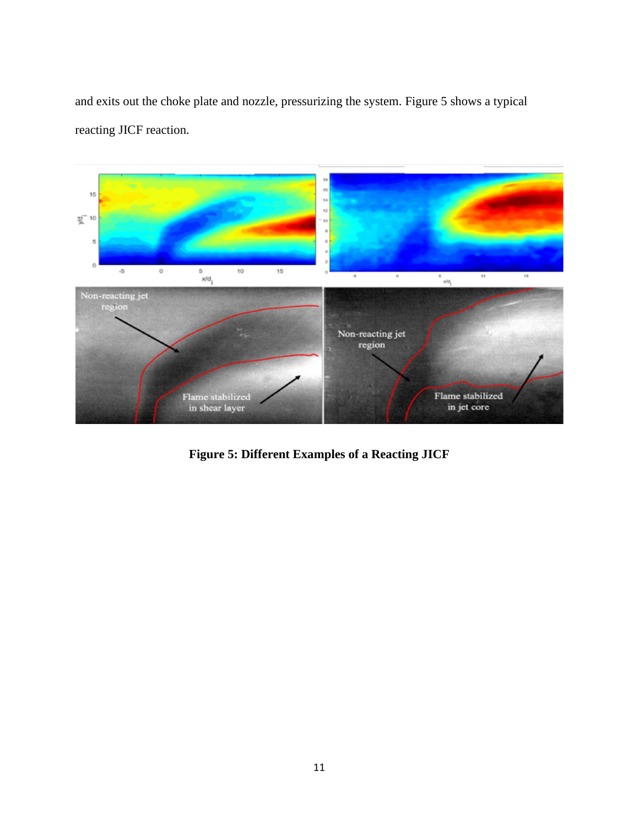and exits out the choke plate and nozzle, pressurizing the system. Figure 5 shows a typical reacting JICF reaction.



**Figure 5: Different Examples of a Reacting JICF**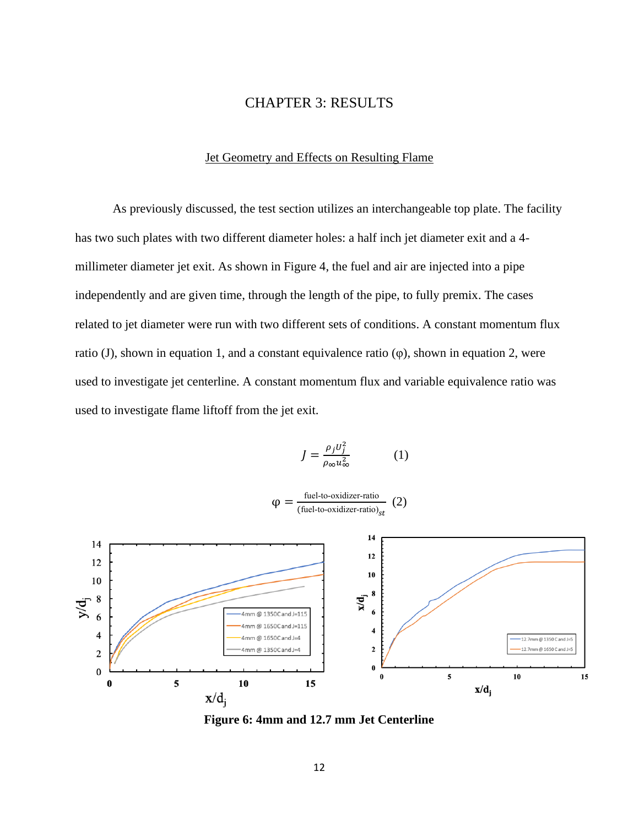## CHAPTER 3: RESULTS

### Jet Geometry and Effects on Resulting Flame

<span id="page-16-1"></span><span id="page-16-0"></span>As previously discussed, the test section utilizes an interchangeable top plate. The facility has two such plates with two different diameter holes: a half inch jet diameter exit and a 4 millimeter diameter jet exit. As shown in Figure 4, the fuel and air are injected into a pipe independently and are given time, through the length of the pipe, to fully premix. The cases related to jet diameter were run with two different sets of conditions. A constant momentum flux ratio (J), shown in equation 1, and a constant equivalence ratio  $(\varphi)$ , shown in equation 2, were used to investigate jet centerline. A constant momentum flux and variable equivalence ratio was used to investigate flame liftoff from the jet exit.

$$
J = \frac{\rho_j U_j^2}{\rho_\infty u_\infty^2} \tag{1}
$$

 $\varphi = \frac{\text{fuel-to-oxidizer-ratio}}{\text{first-thermal}}$ (fuel-to-oxidizer-ratio) $_{st}$ (2)



**Figure 6: 4mm and 12.7 mm Jet Centerline**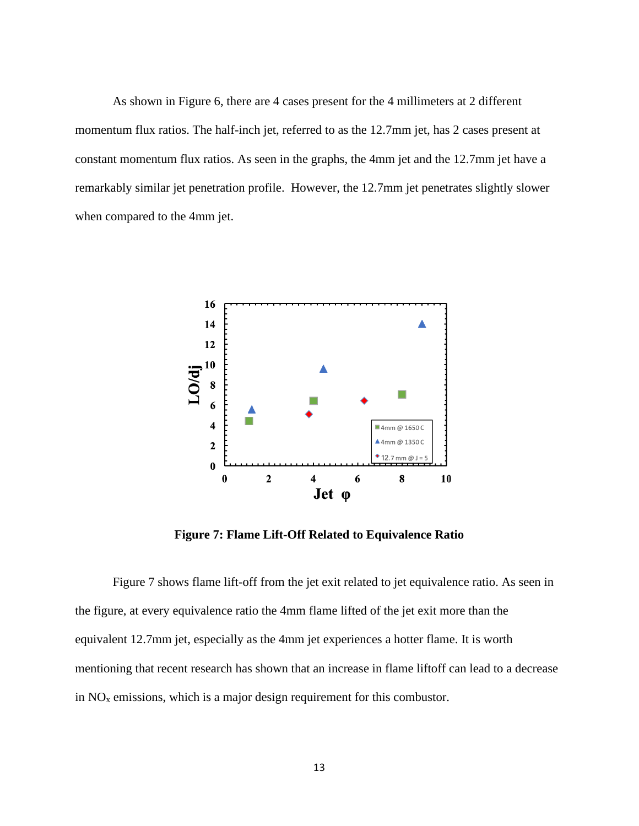As shown in Figure 6, there are 4 cases present for the 4 millimeters at 2 different momentum flux ratios. The half-inch jet, referred to as the 12.7mm jet, has 2 cases present at constant momentum flux ratios. As seen in the graphs, the 4mm jet and the 12.7mm jet have a remarkably similar jet penetration profile. However, the 12.7mm jet penetrates slightly slower when compared to the 4mm jet.



**Figure 7: Flame Lift-Off Related to Equivalence Ratio**

Figure 7 shows flame lift-off from the jet exit related to jet equivalence ratio. As seen in the figure, at every equivalence ratio the 4mm flame lifted of the jet exit more than the equivalent 12.7mm jet, especially as the 4mm jet experiences a hotter flame. It is worth mentioning that recent research has shown that an increase in flame liftoff can lead to a decrease in  $NO<sub>x</sub>$  emissions, which is a major design requirement for this combustor.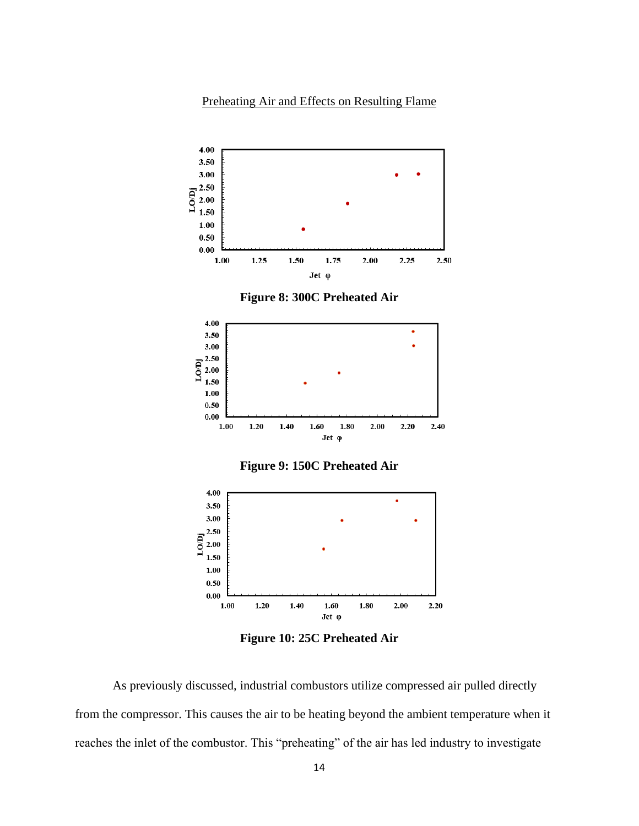## Preheating Air and Effects on Resulting Flame

<span id="page-18-0"></span>

**Figure 8: 300C Preheated Air**



**Figure 9: 150C Preheated Air**



**Figure 10: 25C Preheated Air**

As previously discussed, industrial combustors utilize compressed air pulled directly from the compressor. This causes the air to be heating beyond the ambient temperature when it reaches the inlet of the combustor. This "preheating" of the air has led industry to investigate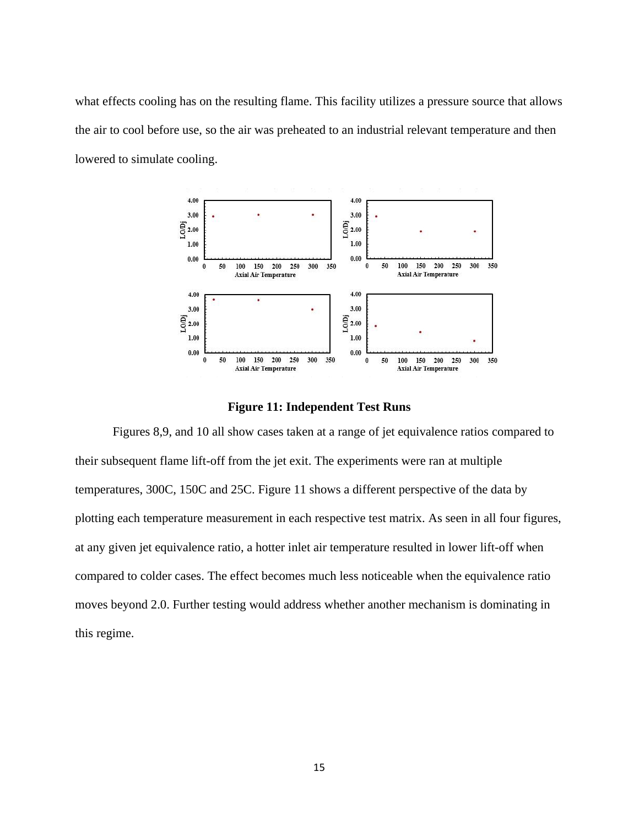what effects cooling has on the resulting flame. This facility utilizes a pressure source that allows the air to cool before use, so the air was preheated to an industrial relevant temperature and then lowered to simulate cooling.



**Figure 11: Independent Test Runs**

Figures 8,9, and 10 all show cases taken at a range of jet equivalence ratios compared to their subsequent flame lift-off from the jet exit. The experiments were ran at multiple temperatures, 300C, 150C and 25C. Figure 11 shows a different perspective of the data by plotting each temperature measurement in each respective test matrix. As seen in all four figures, at any given jet equivalence ratio, a hotter inlet air temperature resulted in lower lift-off when compared to colder cases. The effect becomes much less noticeable when the equivalence ratio moves beyond 2.0. Further testing would address whether another mechanism is dominating in this regime.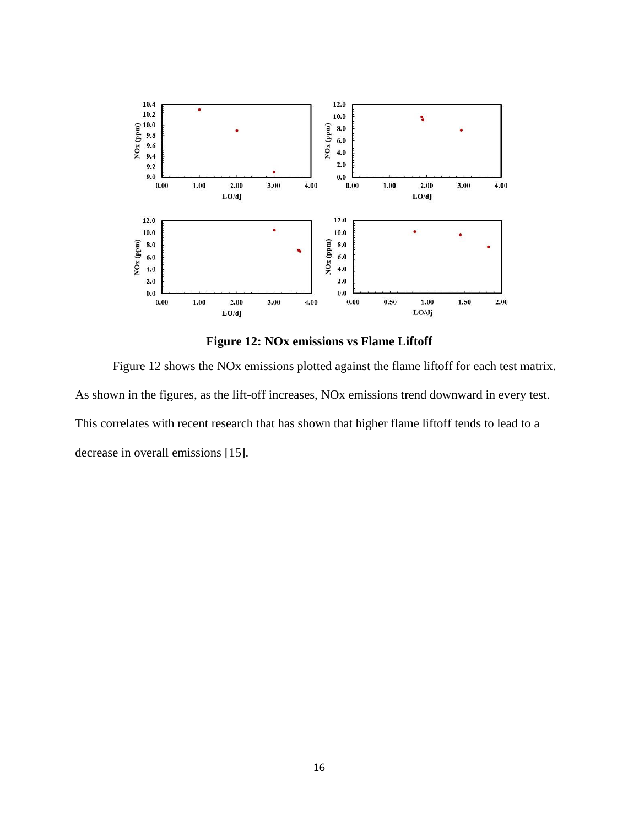<span id="page-20-0"></span>

**Figure 12: NOx emissions vs Flame Liftoff**

Figure 12 shows the NOx emissions plotted against the flame liftoff for each test matrix. As shown in the figures, as the lift-off increases, NOx emissions trend downward in every test. This correlates with recent research that has shown that higher flame liftoff tends to lead to a decrease in overall emissions [15].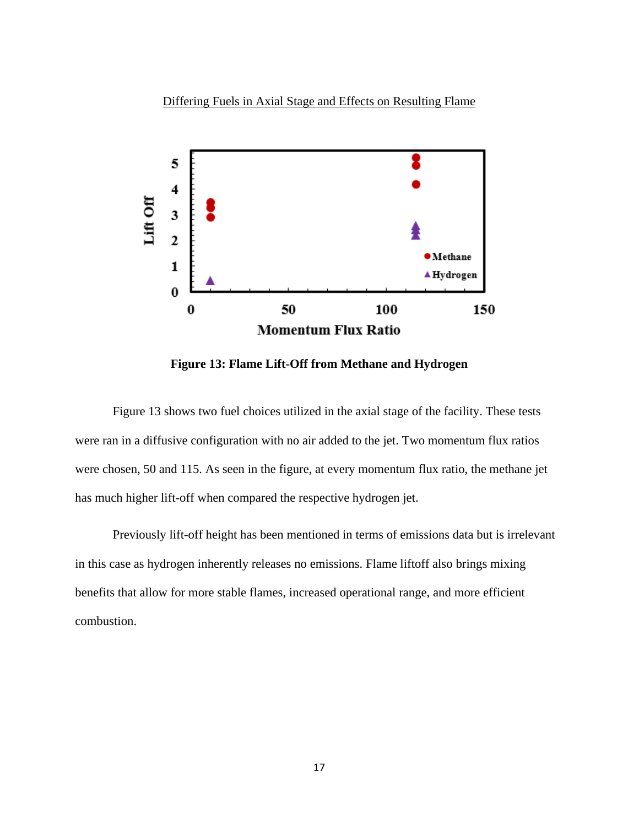Differing Fuels in Axial Stage and Effects on Resulting Flame



**Figure 13: Flame Lift-Off from Methane and Hydrogen**

Figure 13 shows two fuel choices utilized in the axial stage of the facility. These tests were ran in a diffusive configuration with no air added to the jet. Two momentum flux ratios were chosen, 50 and 115. As seen in the figure, at every momentum flux ratio, the methane jet has much higher lift-off when compared the respective hydrogen jet.

Previously lift-off height has been mentioned in terms of emissions data but is irrelevant in this case as hydrogen inherently releases no emissions. Flame liftoff also brings mixing benefits that allow for more stable flames, increased operational range, and more efficient combustion.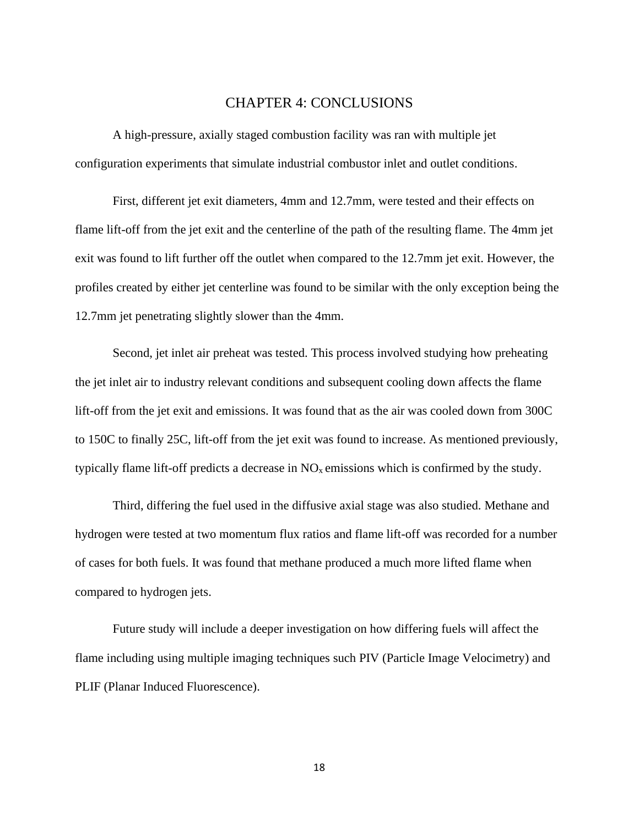## CHAPTER 4: CONCLUSIONS

<span id="page-22-0"></span>A high-pressure, axially staged combustion facility was ran with multiple jet configuration experiments that simulate industrial combustor inlet and outlet conditions.

First, different jet exit diameters, 4mm and 12.7mm, were tested and their effects on flame lift-off from the jet exit and the centerline of the path of the resulting flame. The 4mm jet exit was found to lift further off the outlet when compared to the 12.7mm jet exit. However, the profiles created by either jet centerline was found to be similar with the only exception being the 12.7mm jet penetrating slightly slower than the 4mm.

Second, jet inlet air preheat was tested. This process involved studying how preheating the jet inlet air to industry relevant conditions and subsequent cooling down affects the flame lift-off from the jet exit and emissions. It was found that as the air was cooled down from 300C to 150C to finally 25C, lift-off from the jet exit was found to increase. As mentioned previously, typically flame lift-off predicts a decrease in  $NO<sub>x</sub>$  emissions which is confirmed by the study.

Third, differing the fuel used in the diffusive axial stage was also studied. Methane and hydrogen were tested at two momentum flux ratios and flame lift-off was recorded for a number of cases for both fuels. It was found that methane produced a much more lifted flame when compared to hydrogen jets.

Future study will include a deeper investigation on how differing fuels will affect the flame including using multiple imaging techniques such PIV (Particle Image Velocimetry) and PLIF (Planar Induced Fluorescence).

18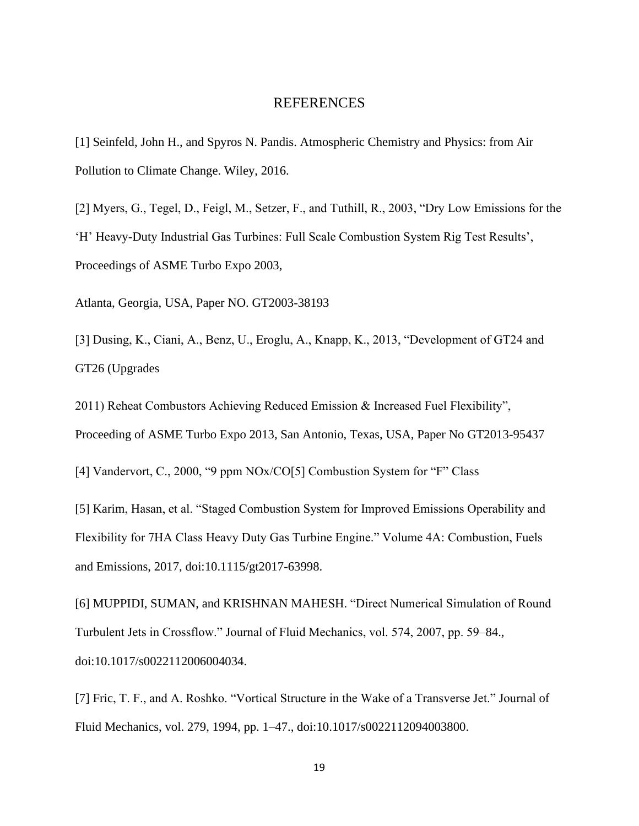### REFERENCES

<span id="page-23-0"></span>[1] Seinfeld, John H., and Spyros N. Pandis. Atmospheric Chemistry and Physics: from Air Pollution to Climate Change. Wiley, 2016.

[2] Myers, G., Tegel, D., Feigl, M., Setzer, F., and Tuthill, R., 2003, "Dry Low Emissions for the 'H' Heavy-Duty Industrial Gas Turbines: Full Scale Combustion System Rig Test Results', Proceedings of ASME Turbo Expo 2003,

Atlanta, Georgia, USA, Paper NO. GT2003-38193

[3] Dusing, K., Ciani, A., Benz, U., Eroglu, A., Knapp, K., 2013, "Development of GT24 and GT26 (Upgrades

2011) Reheat Combustors Achieving Reduced Emission & Increased Fuel Flexibility", Proceeding of ASME Turbo Expo 2013, San Antonio, Texas, USA, Paper No GT2013-95437

[4] Vandervort, C., 2000, "9 ppm NOx/CO[5] Combustion System for "F" Class

[5] Karim, Hasan, et al. "Staged Combustion System for Improved Emissions Operability and Flexibility for 7HA Class Heavy Duty Gas Turbine Engine." Volume 4A: Combustion, Fuels and Emissions, 2017, doi:10.1115/gt2017-63998.

[6] MUPPIDI, SUMAN, and KRISHNAN MAHESH. "Direct Numerical Simulation of Round Turbulent Jets in Crossflow." Journal of Fluid Mechanics, vol. 574, 2007, pp. 59–84., doi:10.1017/s0022112006004034.

[7] Fric, T. F., and A. Roshko. "Vortical Structure in the Wake of a Transverse Jet." Journal of Fluid Mechanics, vol. 279, 1994, pp. 1–47., doi:10.1017/s0022112094003800.